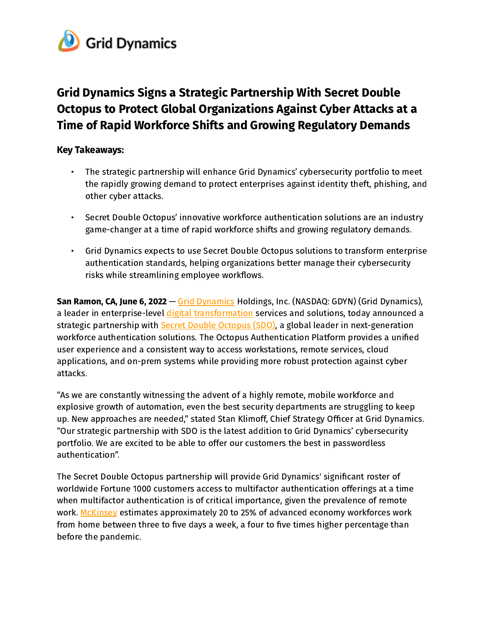

# Grid Dynamics Signs a Strategic Partnership With Secret Double Octopus to Protect Global Organizations Against Cyber Attacks at a Time of Rapid Workforce Shifts and Growing Regulatory Demands

## Key Takeaways:

- The strategic partnership will enhance Grid Dynamics' cybersecurity portfolio to meet the rapidly growing demand to protect enterprises against identity theft, phishing, and other cyber attacks.
- Secret Double Octopus' innovative workforce authentication solutions are an industry game-changer at a time of rapid workforce shifts and growing regulatory demands.
- Grid Dynamics expects to use Secret Double Octopus solutions to transform enterprise authentication standards, helping organizations better manage their cybersecurity risks while streamlining employee workflows.

San Ramon, CA, June 6, 2022 – Grid [Dynamics](https://www.griddynamics.com/) Holdings, Inc. (NASDAQ: GDYN) (Grid Dynamics), a leader in enterprise-level digital [transformation](https://www.griddynamics.com/industries/retail-and-brands) services and solutions, today announced a strategic partnership with **Secret Double [Octopus](https://doubleoctopus.com/) (SDO)**, a global leader in next-generation workforce authentication solutions. The Octopus Authentication Platform provides a unified user experience and a consistent way to access workstations, remote services, cloud applications, and on-prem systems while providing more robust protection against cyber attacks.

"As we are constantly witnessing the advent of a highly remote, mobile workforce and explosive growth of automation, even the best security departments are struggling to keep up. New approaches are needed," stated Stan Klimoff, Chief Strategy Officer at Grid Dynamics. "Our strategic partnership with SDO is the latest addition to Grid Dynamics' cybersecurity portfolio. We are excited to be able to offer our customers the best in passwordless authentication".

The Secret Double Octopus partnership will provide Grid Dynamics' significant roster of worldwide Fortune 1000 customers access to multifactor authentication offerings at a time when multifactor authentication is of critical importance, given the prevalence of remote work. [McKinsey](https://cts.businesswire.com/ct/CT?id=smartlink&url=https%3A%2F%2Fwww.mckinsey.com%2Ffeatured-insights%2Ffuture-of-work%2Fthe-future-of-work-after-covid-19&esheet=52501876&newsitemid=20211006005043&lan=en-US&anchor=McKinsey&index=1&md5=90c601def091bdd706f871737d442047) estimates approximately 20 to 25% of advanced economy workforces work from home between three to five days a week, a four to five times higher percentage than before the pandemic.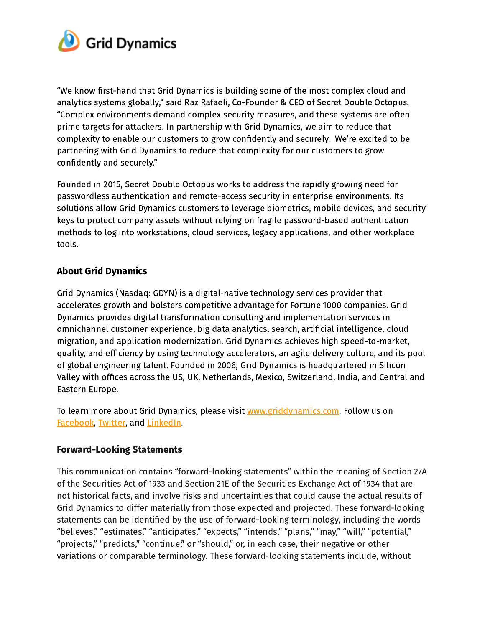

"We know first-hand that Grid Dynamics is building some of the most complex cloud and analytics systems globally," said Raz Rafaeli, Co-Founder & CEO of Secret Double Octopus. "Complex environments demand complex security measures, and these systems are often prime targets for attackers. In partnership with Grid Dynamics, we aim to reduce that complexity to enable our customers to grow confidently and securely. We're excited to be partnering with Grid Dynamics to reduce that complexity for our customers to grow confidently and securely."

Founded in 2015, Secret Double Octopus works to address the rapidly growing need for passwordless authentication and remote-access security in enterprise environments. Its solutions allow Grid Dynamics customers to leverage biometrics, mobile devices, and security keys to protect company assets without relying on fragile password-based authentication methods to log into workstations, cloud services, legacy applications, and other workplace tools.

## About Grid Dynamics

Grid Dynamics (Nasdaq: GDYN) is a digital-native technology services provider that accelerates growth and bolsters competitive advantage for Fortune 1000 companies. Grid Dynamics provides digital transformation consulting and implementation services in omnichannel customer experience, big data analytics, search, artificial intelligence, cloud migration, and application modernization. Grid Dynamics achieves high speed-to-market, quality, and efficiency by using technology accelerators, an agile delivery culture, and its pool of global engineering talent. Founded in 2006, Grid Dynamics is headquartered in Silicon Valley with offices across the US, UK, Netherlands, Mexico, Switzerland, India, and Central and Eastern Europe.

To learn more about Grid Dynamics, please visit [www.griddynamics.com](http://www.griddynamics.com/). Follow us o[n](https://www.facebook.com/griddynamics) [Facebook](https://www.facebook.com/griddynamics), [Twitter,](https://twitter.com/griddynamics) and [LinkedIn.](https://www.linkedin.com/company/grid-dynamics/)

### Forward-Looking Statements

This communication contains "forward-looking statements" within the meaning of Section 27A of the Securities Act of 1933 and Section 21E of the Securities Exchange Act of 1934 that are not historical facts, and involve risks and uncertainties that could cause the actual results of Grid Dynamics to differ materially from those expected and projected. These forward-looking statements can be identified by the use of forward-looking terminology, including the words "believes," "estimates," "anticipates," "expects," "intends," "plans," "may," "will," "potential," "projects," "predicts," "continue," or "should," or, in each case, their negative or other variations or comparable terminology. These forward-looking statements include, without